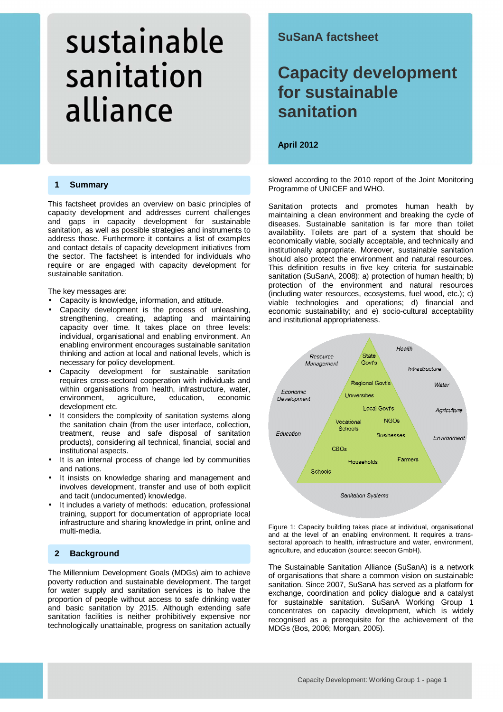#### **1 Summary**

This factsheet provides an overview on basic principles of capacity development and addresses current challenges and gaps in capacity development for sustainable sanitation, as well as possible strategies and instruments to address those. Furthermore it contains a list of examples and contact details of capacity development initiatives from the sector. The factsheet is intended for individuals who require or are engaged with capacity development for sustainable sanitation.

The key messages are:

- Capacity is knowledge, information, and attitude.
- Capacity development is the process of unleashing, strengthening, creating, adapting and maintaining capacity over time. It takes place on three levels: individual, organisational and enabling environment. An enabling environment encourages sustainable sanitation thinking and action at local and national levels, which is necessary for policy development.
- Capacity development for sustainable sanitation requires cross-sectoral cooperation with individuals and within organisations from health, infrastructure, water, environment, agriculture, education, economic development etc.
- It considers the complexity of sanitation systems along the sanitation chain (from the user interface, collection, treatment, reuse and safe disposal of sanitation products), considering all technical, financial, social and institutional aspects.
- It is an internal process of change led by communities and nations.
- It insists on knowledge sharing and management and involves development, transfer and use of both explicit and tacit (undocumented) knowledge.
- It includes a variety of methods: education, professional training, support for documentation of appropriate local infrastructure and sharing knowledge in print, online and multi-media.

#### **2 Background**

The Millennium Development Goals (MDGs) aim to achieve poverty reduction and sustainable development. The target for water supply and sanitation services is to halve the proportion of people without access to safe drinking water and basic sanitation by 2015. Although extending safe sanitation facilities is neither prohibitively expensive nor technologically unattainable, progress on sanitation actually

### **SuSanA factsheet**

## **Capacity development for sustainable sanitation**

1

**April 2012** 

slowed according to the 2010 report of the Joint Monitoring Programme of UNICEF and WHO.

Sanitation protects and promotes human health by maintaining a clean environment and breaking the cycle of diseases. Sustainable sanitation is far more than toilet availability. Toilets are part of a system that should be economically viable, socially acceptable, and technically and institutionally appropriate. Moreover, sustainable sanitation should also protect the environment and natural resources. This definition results in five key criteria for sustainable sanitation (SuSanA, 2008): a) protection of human health; b) protection of the environment and natural resources (including water resources, ecosystems, fuel wood, etc.); c) viable technologies and operations; d) financial and economic sustainability; and e) socio-cultural acceptability and institutional appropriateness.



Figure 1: Capacity building takes place at individual, organisational and at the level of an enabling environment. It requires a transsectoral approach to health, infrastructure and water, environment, agriculture, and education (source: seecon GmbH).

The Sustainable Sanitation Alliance (SuSanA) is a network of organisations that share a common vision on sustainable sanitation. Since 2007, SuSanA has served as a platform for exchange, coordination and policy dialogue and a catalyst for sustainable sanitation. SuSanA Working Group 1 concentrates on capacity development, which is widely recognised as a prerequisite for the achievement of the MDGs (Bos, 2006; Morgan, 2005).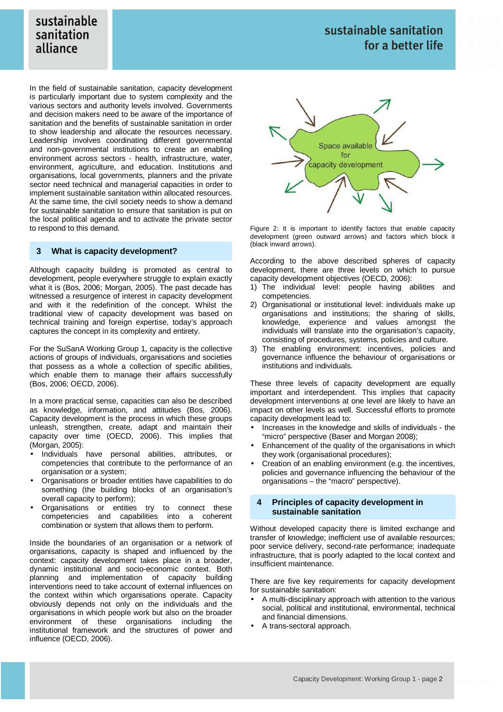In the field of sustainable sanitation, capacity development is particularly important due to system complexity and the various sectors and authority levels involved. Governments and decision makers need to be aware of the importance of sanitation and the benefits of sustainable sanitation in order to show leadership and allocate the resources necessary. Leadership involves coordinating different governmental and non-governmental institutions to create an enabling environment across sectors - health, infrastructure, water, environment, agriculture, and education. Institutions and organisations, local governments, planners and the private sector need technical and managerial capacities in order to implement sustainable sanitation within allocated resources. At the same time, the civil society needs to show a demand for sustainable sanitation to ensure that sanitation is put on the local political agenda and to activate the private sector to respond to this demand.

#### **3 What is capacity development?**

Although capacity building is promoted as central to development, people everywhere struggle to explain exactly what it is (Bos, 2006; Morgan, 2005). The past decade has witnessed a resurgence of interest in capacity development and with it the redefinition of the concept. Whilst the traditional view of capacity development was based on technical training and foreign expertise, today's approach captures the concept in its complexity and entirety.

For the SuSanA Working Group 1, capacity is the collective actions of groups of individuals, organisations and societies that possess as a whole a collection of specific abilities, which enable them to manage their affairs successfully (Bos, 2006; OECD, 2006).

In a more practical sense, capacities can also be described as knowledge, information, and attitudes (Bos, 2006). Capacity development is the process in which these groups unleash, strengthen, create, adapt and maintain their capacity over time (OECD, 2006). This implies that (Morgan, 2005):

- Individuals have personal abilities, attributes, or competencies that contribute to the performance of an organisation or a system;
- Organisations or broader entities have capabilities to do something (the building blocks of an organisation's overall capacity to perform);
- Organisations or entities try to connect these competencies and capabilities into a coherent combination or system that allows them to perform.

Inside the boundaries of an organisation or a network of organisations, capacity is shaped and influenced by the context: capacity development takes place in a broader, dynamic institutional and socio-economic context. Both planning and implementation of capacity building interventions need to take account of external influences on the context within which organisations operate. Capacity obviously depends not only on the individuals and the organisations in which people work but also on the broader environment of these organisations including the institutional framework and the structures of power and influence (OECD, 2006).



Figure 2: It is important to identify factors that enable capacity development (green outward arrows) and factors which block it (black inward arrows).

According to the above described spheres of capacity development, there are three levels on which to pursue capacity development objectives (OECD, 2006):

- 1) The individual level: people having abilities and competencies.
- 2) Organisational or institutional level: individuals make up organisations and institutions; the sharing of skills, knowledge, experience and values amongst the individuals will translate into the organisation's capacity, consisting of procedures, systems, policies and culture.
- 3) The enabling environment: incentives, policies and governance influence the behaviour of organisations or institutions and individuals.

These three levels of capacity development are equally important and interdependent. This implies that capacity development interventions at one level are likely to have an impact on other levels as well. Successful efforts to promote capacity development lead to:

- Increases in the knowledge and skills of individuals the "micro" perspective (Baser and Morgan 2008);
- Enhancement of the quality of the organisations in which they work (organisational procedures);
- Creation of an enabling environment (e.g. the incentives, policies and governance influencing the behaviour of the organisations – the "macro" perspective).

#### **4 Principles of capacity development in sustainable sanitation**

Without developed capacity there is limited exchange and transfer of knowledge; inefficient use of available resources; poor service delivery, second-rate performance; inadequate infrastructure, that is poorly adapted to the local context and insufficient maintenance.

There are five key requirements for capacity development for sustainable sanitation:

- A multi-disciplinary approach with attention to the various social, political and institutional, environmental, technical and financial dimensions.
- A trans-sectoral approach.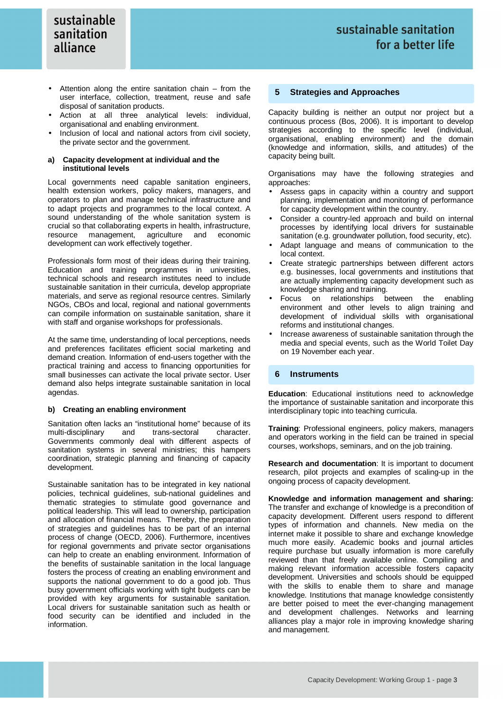- Attention along the entire sanitation chain  $-$  from the user interface, collection, treatment, reuse and safe disposal of sanitation products.
- Action at all three analytical levels: individual, organisational and enabling environment.
- Inclusion of local and national actors from civil society. the private sector and the government.

#### **a) Capacity development at individual and the institutional levels**

Local governments need capable sanitation engineers, health extension workers, policy makers, managers, and operators to plan and manage technical infrastructure and to adapt projects and programmes to the local context. A sound understanding of the whole sanitation system is crucial so that collaborating experts in health, infrastructure, resource management, agriculture and economic development can work effectively together.

Professionals form most of their ideas during their training. Education and training programmes in universities, technical schools and research institutes need to include sustainable sanitation in their curricula, develop appropriate materials, and serve as regional resource centres. Similarly NGOs, CBOs and local, regional and national governments can compile information on sustainable sanitation, share it with staff and organise workshops for professionals.

At the same time, understanding of local perceptions, needs and preferences facilitates efficient social marketing and demand creation. Information of end-users together with the practical training and access to financing opportunities for small businesses can activate the local private sector. User demand also helps integrate sustainable sanitation in local agendas.

#### **b) Creating an enabling environment**

Sanitation often lacks an "institutional home" because of its multi-disciplinary and trans-sectoral character. Governments commonly deal with different aspects of sanitation systems in several ministries; this hampers coordination, strategic planning and financing of capacity development.

Sustainable sanitation has to be integrated in key national policies, technical guidelines, sub-national guidelines and thematic strategies to stimulate good governance and political leadership. This will lead to ownership, participation and allocation of financial means. Thereby, the preparation of strategies and guidelines has to be part of an internal process of change (OECD, 2006). Furthermore, incentives for regional governments and private sector organisations can help to create an enabling environment. Information of the benefits of sustainable sanitation in the local language fosters the process of creating an enabling environment and supports the national government to do a good job. Thus busy government officials working with tight budgets can be provided with key arguments for sustainable sanitation. Local drivers for sustainable sanitation such as health or food security can be identified and included in the information.

#### **5 Strategies and Approaches**

Capacity building is neither an output nor project but a continuous process (Bos, 2006). It is important to develop strategies according to the specific level (individual, organisational, enabling environment) and the domain (knowledge and information, skills, and attitudes) of the capacity being built.

Organisations may have the following strategies and approaches:

- Assess gaps in capacity within a country and support planning, implementation and monitoring of performance for capacity development within the country.
- Consider a country-led approach and build on internal processes by identifying local drivers for sustainable sanitation (e.g. groundwater pollution, food security, etc).
- Adapt language and means of communication to the local context.
- Create strategic partnerships between different actors e.g. businesses, local governments and institutions that are actually implementing capacity development such as knowledge sharing and training.
- Focus on relationships between the enabling environment and other levels to align training and development of individual skills with organisational reforms and institutional changes.
- Increase awareness of sustainable sanitation through the media and special events, such as the World Toilet Day on 19 November each year.

#### **6 Instruments**

**Education**: Educational institutions need to acknowledge the importance of sustainable sanitation and incorporate this interdisciplinary topic into teaching curricula.

**Training**: Professional engineers, policy makers, managers and operators working in the field can be trained in special courses, workshops, seminars, and on the job training.

**Research and documentation**: It is important to document research, pilot projects and examples of scaling-up in the ongoing process of capacity development.

**Knowledge and information management and sharing:** The transfer and exchange of knowledge is a precondition of capacity development. Different users respond to different types of information and channels. New media on the internet make it possible to share and exchange knowledge much more easily. Academic books and journal articles require purchase but usually information is more carefully reviewed than that freely available online. Compiling and making relevant information accessible fosters capacity development. Universities and schools should be equipped with the skills to enable them to share and manage knowledge. Institutions that manage knowledge consistently are better poised to meet the ever-changing management and development challenges. Networks and learning alliances play a major role in improving knowledge sharing and management.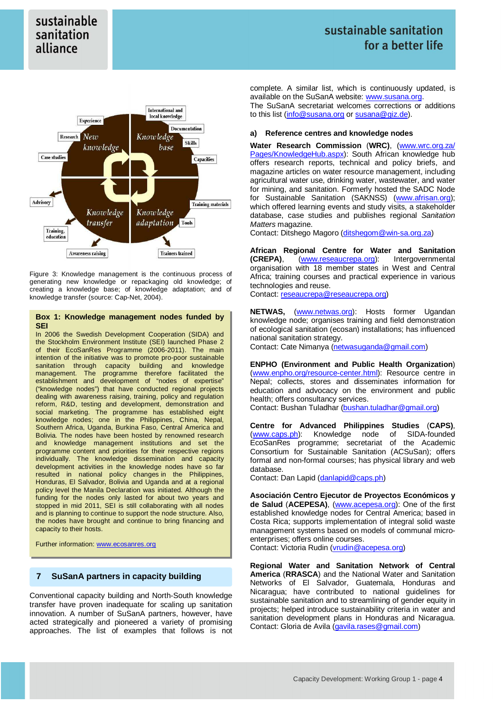

Figure 3: Knowledge management is the continuous process of generating new knowledge or repackaging old knowledge; of creating a knowledge base; of knowledge adaptation; and of knowledge transfer (source: Cap-Net, 2004).

#### **Box 1: Knowledge management nodes funded by SEI**

In 2006 the Swedish Development Cooperation (SIDA) and the Stockholm Environment Institute (SEI) launched Phase 2 of their EcoSanRes Programme (2006-2011). The main intention of the initiative was to promote pro-poor sustainable sanitation through capacity building and knowledge management. The programme therefore facilitated the establishment and development of "nodes of expertise" ("knowledge nodes") that have conducted regional projects dealing with awareness raising, training, policy and regulation reform, R&D, testing and development, demonstration and social marketing. The programme has established eight knowledge nodes; one in the Philippines, China, Nepal, Southern Africa, Uganda, Burkina Faso, Central America and Bolivia. The nodes have been hosted by renowned research and knowledge management institutions and set the programme content and priorities for their respective regions individually. The knowledge dissemination and capacity development activities in the knowledge nodes have so far resulted in national policy changes in the Philippines, Honduras, El Salvador, Bolivia and Uganda and at a regional policy level the Manila Declaration was initiated. Although the funding for the nodes only lasted for about two years and stopped in mid 2011, SEI is still collaborating with all nodes and is planning to continue to support the node structure. Also, the nodes have brought and continue to bring financing and capacity to their hosts.

Further information: www.ecosanres.org

#### **7 SuSanA partners in capacity building**

Conventional capacity building and North-South knowledge transfer have proven inadequate for scaling up sanitation innovation. A number of SuSanA partners, however, have acted strategically and pioneered a variety of promising approaches. The list of examples that follows is not

complete. A similar list, which is continuously updated, is available on the SuSanA website: www.susana.org. The SuSanA secretariat welcomes corrections or additions to this list (info@susana.org or susana@giz.de).

#### **a) Reference centres and knowledge nodes**

**Water Research Commission** (**WRC)**, (www.wrc.org.za/ Pages/KnowledgeHub.aspx): South African knowledge hub offers research reports, technical and policy briefs, and magazine articles on water resource management, including agricultural water use, drinking water, wastewater, and water for mining, and sanitation. Formerly hosted the SADC Node for Sustainable Sanitation (SAKNSS) (www.afrisan.org); which offered learning events and study visits, a stakeholder database, case studies and publishes regional Sanitation Matters magazine.

Contact: Ditshego Magoro (ditshegom@win-sa.org.za)

**African Regional Centre for Water and Sanitation (CREPA)**, (www.reseaucrepa.org): Intergovernmental organisation with 18 member states in West and Central Africa; training courses and practical experience in various technologies and reuse.

Contact: reseaucrepa@reseaucrepa.org)

**NETWAS,** (www.netwas.org): Hosts former Ugandan knowledge node; organises training and field demonstration of ecological sanitation (ecosan) installations; has influenced national sanitation strategy.

Contact: Cate Nimanya (netwasuganda@gmail.com)

**ENPHO (Environment and Public Health Organization**) (www.enpho.org/resource-center.html): Resource centre in Nepal; collects, stores and disseminates information for education and advocacy on the environment and public health; offers consultancy services.

Contact: Bushan Tuladhar (bushan.tuladhar@gmail.org)

**Centre for Advanced Philippines Studies** (**CAPS)**, (www.caps.ph): Knowledge node of SIDA-founded EcoSanRes programme; secretariat of the Academic Consortium for Sustainable Sanitation (ACSuSan); offers formal and non-formal courses; has physical library and web database.

Contact: Dan Lapid (danlapid@caps.ph)

**Asociación Centro Ejecutor de Proyectos Económicos y de Salud** (**ACEPESA)**, (www.acepesa.org): One of the first established knowledge nodes for Central America; based in Costa Rica; supports implementation of integral solid waste management systems based on models of communal microenterprises; offers online courses.

Contact: Victoria Rudin (vrudin@acepesa.org)

**Regional Water and Sanitation Network of Central America** (**RRASCA**) and the National Water and Sanitation Networks of El Salvador, Guatemala, Honduras and Nicaragua; have contributed to national guidelines for sustainable sanitation and to streamlining of gender equity in projects; helped introduce sustainability criteria in water and sanitation development plans in Honduras and Nicaragua. Contact: Gloria de Avila (gavila.rases@gmail.com)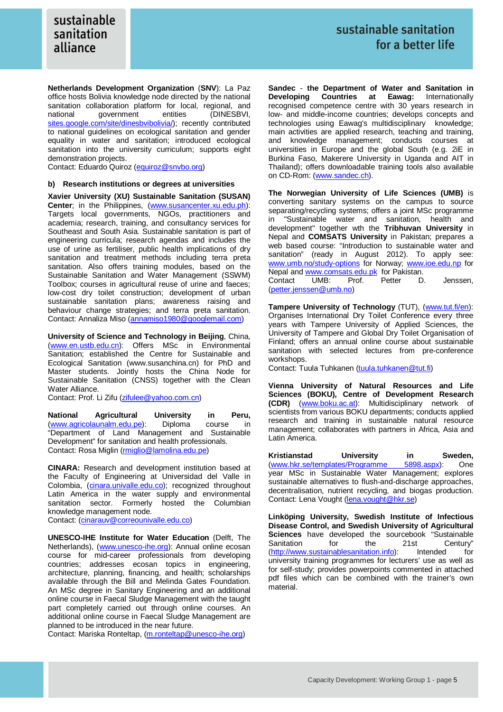**Netherlands Development Organization** (**SNV**): La Paz office hosts Bolivia knowledge node directed by the national sanitation collaboration platform for local, regional, and national government entities (DINESBVI, national government sites.google.com/site/dinesbvibolivia/); recently contributed to national guidelines on ecological sanitation and gender equality in water and sanitation; introduced ecological sanitation into the university curriculum; supports eight demonstration projects.

Contact: Eduardo Quiroz (equiroz@snvbo.org)

#### **b) Research institutions or degrees at universities**

**Xavier University (XU) Sustainable Sanitation (SUSAN) Center**; in the Philippines, (www.susancenter.xu.edu.ph): Targets local governments, NGOs, practitioners and academia; research, training, and consultancy services for Southeast and South Asia. Sustainable sanitation is part of engineering curricula; research agendas and includes the use of urine as fertiliser, public health implications of dry sanitation and treatment methods including terra preta sanitation. Also offers training modules, based on the Sustainable Sanitation and Water Management (SSWM) Toolbox; courses in agricultural reuse of urine and faeces; low-cost dry toilet construction; development of urban sustainable sanitation plans; awareness raising and behaviour change strategies; and terra preta sanitation. Contact: Annaliza Miso (annamiso1980@googlemail.com)

**University of Science and Technology in Beijing**, China, (www.en.ustb.edu.cn): Offers MSc in Environmental Sanitation; established the Centre for Sustainable and Ecological Sanitation (www.susanchina.cn) for PhD and Master students. Jointly hosts the China Node for Sustainable Sanitation (CNSS) together with the Clean Water Alliance.

Contact: Prof. Li Zifu (zifulee@yahoo.com.cn)

**National Agricultural University in Peru,** (www.agricolaunalm.edu.pe): Diploma course in "Department of Land Management and Sustainable Development" for sanitation and health professionals. Contact: Rosa Miglin (rmiglio@lamolina.edu.pe)

**CINARA:** Research and development institution based at the Faculty of Engineering at Universidad del Valle in Colombia, (cinara.univalle.edu.co); recognized throughout Latin America in the water supply and environmental sanitation sector. Formerly hosted the Columbian knowledge management node.

Contact: (cinarauv@correounivalle.edu.co)

**UNESCO-IHE Institute for Water Education** (Delft, The Netherlands), (www.unesco-ihe.org): Annual online ecosan course for mid-career professionals from developing countries; addresses ecosan topics in engineering, architecture, planning, financing, and health; scholarships available through the Bill and Melinda Gates Foundation. An MSc degree in Sanitary Engineering and an additional online course in Faecal Sludge Management with the taught part completely carried out through online courses. An additional online course in Faecal Sludge Management are planned to be introduced in the near future.

Contact: Mariska Ronteltap, (m.ronteltap@unesco-ihe.org)

**Sandec** - **the Department of Water and Sanitation in Developing Countries at Eawag:** Internationally recognised competence centre with 30 years research in low- and middle-income countries; develops concepts and technologies using Eawag's multidisciplinary knowledge; main activities are applied research, teaching and training, and knowledge management; conducts courses at universities in Europe and the global South (e.g. 2iE in Burkina Faso, Makerere University in Uganda and AIT in Thailand); offers downloadable training tools also available on CD-Rom: (www.sandec.ch).

**The Norwegian University of Life Sciences (UMB)** is converting sanitary systems on the campus to source separating/recycling systems; offers a joint MSc programme in "Sustainable water and sanitation, health and development" together wth the **Tribhuvan University** in Nepal and **COMSATS University** in Pakistan; prepares a web based course: "Introduction to sustainable water and sanitation" (ready in August 2012). To apply see: www.umb.no/study-options for Norway; www.ioe.edu.np for Nepal and www.comsats.edu.pk for Pakistan. Contact UMB: Prof. Petter D. Jenssen, (petter.jenssen@umb.no)

**Tampere University of Technology** (TUT), (www.tut.fi/en): Organises International Dry Toilet Conference every three years with Tampere University of Applied Sciences, the University of Tampere and Global Dry Toilet Organisation of Finland; offers an annual online course about sustainable sanitation with selected lectures from pre-conference workshops.

Contact: Tuula Tuhkanen (tuula.tuhkanen@tut.fi)

**Vienna University of Natural Resources and Life Sciences (BOKU), Centre of Development Research (CDR)** (www.boku.ac.at): Multidisciplinary network of scientists from various BOKU departments; conducts applied research and training in sustainable natural resource management; collaborates with partners in Africa, Asia and Latin America.

**Kristianstad University in Sweden,**<br>
(www.hkr.se/templates/Programme 5898.aspx): One (www.hkr.se/templates/Programme 5898.aspx): One year MSc in Sustainable Water Management; explores sustainable alternatives to flush-and-discharge approaches, decentralisation, nutrient recycling, and biogas production. Contact: Lena Vought (lena.vought@hkr.se)

**Linköping University, Swedish Institute of Infectious Disease Control, and Swedish University of Agricultural Sciences** have developed the sourcebook "Sustainable Sanitation for the 21st Century" (http://www.sustainablesanitation.info): Intended for university training programmes for lecturers' use as well as for self-study; provides powerpoints commented in attached pdf files which can be combined with the trainer's own material.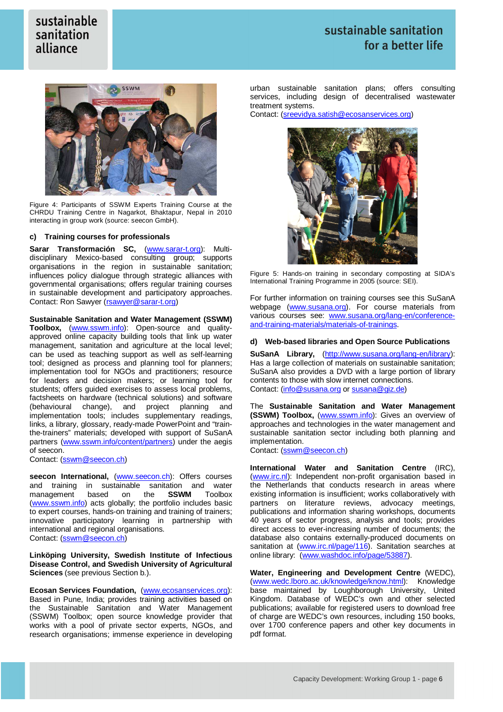## sustainable sanitation for a better life



Figure 4: Participants of SSWM Experts Training Course at the CHRDU Training Centre in Nagarkot, Bhaktapur, Nepal in 2010 interacting in group work (source: seecon GmbH).

#### **c) Training courses for professionals**

**Sarar Transformación SC,** (www.sarar-t.org): Multidisciplinary Mexico-based consulting group; supports organisations in the region in sustainable sanitation; influences policy dialogue through strategic alliances with governmental organisations; offers regular training courses in sustainable development and participatory approaches. Contact: Ron Sawyer (rsawyer@sarar-t.org)

**Sustainable Sanitation and Water Management (SSWM)** 

Toolbox, (www.sswm.info): Open-source and qualityapproved online capacity building tools that link up water management, sanitation and agriculture at the local level; can be used as teaching support as well as self-learning tool; designed as process and planning tool for planners; implementation tool for NGOs and practitioners; resource for leaders and decision makers; or learning tool for students; offers guided exercises to assess local problems, factsheets on hardware (technical solutions) and software (behavioural change), and project planning and implementation tools; includes supplementary readings, links, a library, glossary, ready-made PowerPoint and "trainthe-trainers" materials; developed with support of SuSanA partners (www.sswm.info/content/partners) under the aegis of seecon.

Contact: (sswm@seecon.ch)

seecon International, (www.seecon.ch): Offers courses and training in sustainable sanitation and water<br>management based on the **SSWM** Toolbox management based on (www.sswm.info) acts globally; the portfolio includes basic to expert courses, hands-on training and training of trainers; innovative participatory learning in partnership with international and regional organisations. Contact: (sswm@seecon.ch)

**Linköping University, Swedish Institute of Infectious Disease Control, and Swedish University of Agricultural Sciences** (see previous Section b.).

**Ecosan Services Foundation,** (www.ecosanservices.org): Based in Pune, India; provides training activities based on the Sustainable Sanitation and Water Management (SSWM) Toolbox; open source knowledge provider that works with a pool of private sector experts, NGOs, and research organisations; immense experience in developing urban sustainable sanitation plans; offers consulting services, including design of decentralised wastewater treatment systems.

Contact: (sreevidya.satish@ecosanservices.org)



Figure 5: Hands-on training in secondary composting at SIDA's International Training Programme in 2005 (source: SEI).

For further information on training courses see this SuSanA webpage (www.susana.org). For course materials from various courses see: www.susana.org/lang-en/conferenceand-training-materials/materials-of-trainings.

#### **d) Web-based libraries and Open Source Publications**

**SuSanA Library,** (http://www.susana.org/lang-en/library): Has a large collection of materials on sustainable sanitation; SuSanA also provides a DVD with a large portion of library contents to those with slow internet connections. Contact: (info@susana.org or susana@giz.de)

The **Sustainable Sanitation and Water Management (SSWM) Toolbox,** (www.sswm.info): Gives an overview of approaches and technologies in the water management and sustainable sanitation sector including both planning and implementation.

Contact: (sswm@seecon.ch)

**International Water and Sanitation Centre** (IRC), (www.irc.nl): Independent non-profit organisation based in the Netherlands that conducts research in areas where existing information is insufficient; works collaboratively with partners on literature reviews, advocacy meetings, publications and information sharing workshops, documents 40 years of sector progress, analysis and tools; provides direct access to ever-increasing number of documents; the database also contains externally-produced documents on sanitation at (www.irc.nl/page/116). Sanitation searches at online library: (www.washdoc.info/page/53887).

**Water, Engineering and Development Centre** (WEDC), (www.wedc.lboro.ac.uk/knowledge/know.html): Knowledge base maintained by Loughborough University, United Kingdom. Database of WEDC's own and other selected publications; available for registered users to download free of charge are WEDC's own resources, including 150 books, over 1700 conference papers and other key documents in pdf format.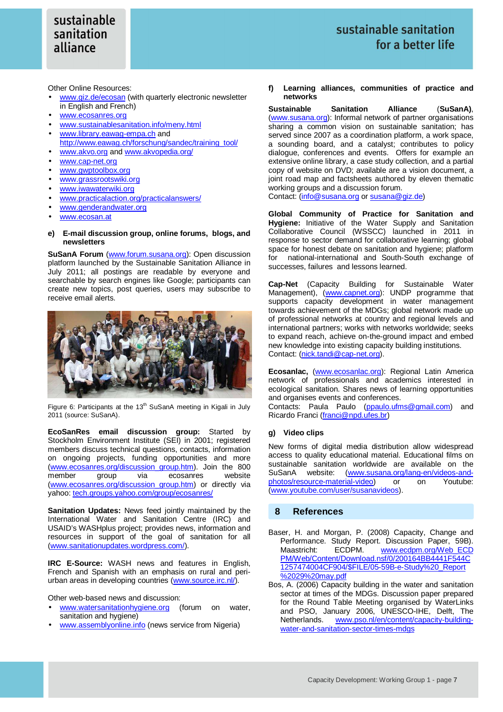Other Online Resources:

- www.giz.de/ecosan (with quarterly electronic newsletter in English and French)
- www.ecosanres.org
- www.sustainablesanitation.info/meny.html
- www.library.eawag-empa.ch and
- http://www.eawag.ch/forschung/sandec/training\_tool/ www.akvo.org and www.akvopedia.org/
- www.cap-net.org
- www.gwptoolbox.org
- www.grassrootswiki.org
- www.iwawaterwiki.org
- www.practicalaction.org/practicalanswers/
- www.genderandwater.org
- www.ecosan.at
- **e) E-mail discussion group, online forums, blogs, and newsletters**

**SuSanA Forum** (www.forum.susana.org): Open discussion platform launched by the Sustainable Sanitation Alliance in July 2011; all postings are readable by everyone and searchable by search engines like Google; participants can create new topics, post queries, users may subscribe to receive email alerts.



Figure 6: Participants at the  $13<sup>th</sup>$  SuSanA meeting in Kigali in July 2011 (source: SuSanA).

**EcoSanRes email discussion group:** Started by Stockholm Environment Institute (SEI) in 2001; registered members discuss technical questions, contacts, information on ongoing projects, funding opportunities and more (www.ecosanres.org/discussion\_group.htm). Join the 800 group via ecosanres (www.ecosanres.org/discussion\_group.htm) or directly via yahoo: tech.groups.yahoo.com/group/ecosanres/

**Sanitation Updates:** News feed jointly maintained by the International Water and Sanitation Centre (IRC) and USAID's WASHplus project; provides news, information and resources in support of the goal of sanitation for all (www.sanitationupdates.wordpress.com/).

**IRC E-Source:** WASH news and features in English, French and Spanish with an emphasis on rural and periurban areas in developing countries (www.source.irc.nl/).

Other web-based news and discussion:

- www.watersanitationhygiene.org (forum on water, sanitation and hygiene)
- www.assemblyonline.info (news service from Nigeria)

**f) Learning alliances, communities of practice and networks**

**Sustainable Sanitation Alliance** (**SuSanA)**, (www.susana.org): Informal network of partner organisations sharing a common vision on sustainable sanitation; has served since 2007 as a coordination platform, a work space, a sounding board, and a catalyst; contributes to policy dialogue, conferences and events. Offers for example an extensive online library, a case study collection, and a partial copy of website on DVD; available are a vision document, a joint road map and factsheets authored by eleven thematic working groups and a discussion forum. Contact: (info@susana.org or susana@giz.de)

**Global Community of Practice for Sanitation and Hygiene:** Initiative of the Water Supply and Sanitation Collaborative Council (WSSCC) launched in 2011 in response to sector demand for collaborative learning; global space for honest debate on sanitation and hygiene; platform for national-international and South-South exchange of successes, failures and lessons learned.

**Cap-Net** (Capacity Building for Sustainable Water Management), (www.capnet.org): UNDP programme that supports capacity development in water management towards achievement of the MDGs; global network made up of professional networks at country and regional levels and international partners; works with networks worldwide; seeks to expand reach, achieve on-the-ground impact and embed new knowledge into existing capacity building institutions. Contact: (nick.tandi@cap-net.org).

**Ecosanlac,** (www.ecosanlac.org): Regional Latin America network of professionals and academics interested in ecological sanitation. Shares news of learning opportunities and organises events and conferences.

Contacts: Paula Paulo (ppaulo.ufms@gmail.com) and Ricardo Franci (franci@npd.ufes.br)

#### **g) Video clips**

New forms of digital media distribution allow widespread access to quality educational material. Educational films on sustainable sanitation worldwide are available on the SuSanA website: (www.susana.org/lang-en/videos-andphotos/resource-material-video) or on Youtube: (www.youtube.com/user/susanavideos).

#### **8 References**

- Baser, H. and Morgan, P. (2008) Capacity, Change and Performance. Study Report. Discussion Paper, 59B). Maastricht: ECDPM. www.ecdpm.org/Web\_ECD PM/Web/Content/Download.nsf/0/200164BB4441F544C 1257474004CF904/\$FILE/05-59B-e-Study%20\_Report %2029%20may.pdf
- Bos, A. (2006) Capacity building in the water and sanitation sector at times of the MDGs. Discussion paper prepared for the Round Table Meeting organised by WaterLinks and PSO, January 2006, UNESCO-IHE, Delft, The Netherlands. www.pso.nl/en/content/capacity-buildingwater-and-sanitation-sector-times-mdgs